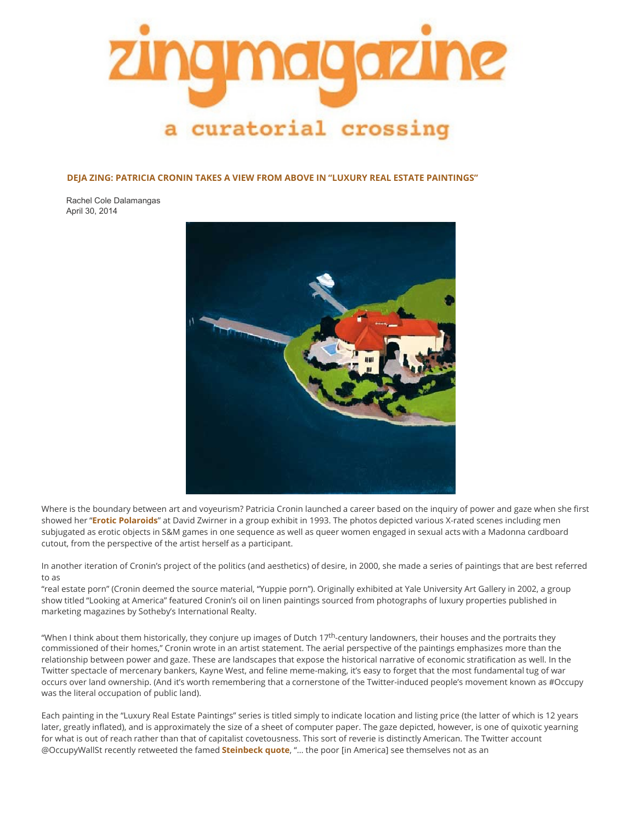

**DEJA ZING: PATRICIA CRONIN TAKES A VIEW FROM ABOVE IN "LUXURY REAL ESTATE PAINTINGS"**

Rachel Cole Dalamangas April 30, 2014



Where is the boundary between art and voyeurism? Patricia Cronin launched a career based on the inquiry of power and gaze when she first showed her "**[Erotic Polaroids](https://t.umblr.com/redirect?z=http%3A%2F%2Fwww.patriciacronin.net%2Fpoloroids.html&t=MjkwM2VlY2Q3Yzc5NDE3NGFhOTM5ZWFjMmFiYzI3NTkyMGI0NTVmZixQOVBBbzVZOQ%3D%3D&b=t%3ARTEIf69ntlAguoE8c4OLGA&p=https%3A%2F%2Fzingmagazine.tumblr.com%2Fpost%2F84390311303%2Fdeja-zing-patricia-cronin-takes-a-view-from-above&m=1)**" at David Zwirner in a group exhibit in 1993. The photos depicted various X-rated scenes including men subjugated as erotic objects in S&M games in one sequence as well as queer women engaged in sexual acts with a Madonna cardboard cutout, from the perspective of the artist herself as a participant.

In another iteration of Cronin's project of the politics (and aesthetics) of desire, in 2000, she made a series of paintings that are best referred to as

"real estate porn" (Cronin deemed the source material, "Yuppie porn"). Originally exhibited at Yale University Art Gallery in 2002, a group show titled "Looking at America" featured Cronin's oil on linen paintings sourced from photographs of luxury properties published in marketing magazines by Sotheby's International Realty.

"When I think about them historically, they conjure up images of Dutch  $17<sup>th</sup>$ -century landowners, their houses and the portraits they commissioned of their homes," Cronin wrote in an artist statement. The aerial perspective of the paintings emphasizes more than the relationship between power and gaze. These are landscapes that expose the historical narrative of economic stratification as well. In the Twitter spectacle of mercenary bankers, Kayne West, and feline meme-making, it's easy to forget that the most fundamental tug of war occurs over land ownership. (And it's worth remembering that a cornerstone of the Twitter-induced people's movement known as #Occupy was the literal occupation of public land).

Each painting in the "Luxury Real Estate Paintings" series is titled simply to indicate location and listing price (the latter of which is 12 years later, greatly inflated), and is approximately the size of a sheet of computer paper. The gaze depicted, however, is one of quixotic yearning for what is out of reach rather than that of capitalist covetousness. This sort of reverie is distinctly American. The Twitter account @OccupyWallSt recently retweeted the famed **[Steinbeck quote](https://twitter.com/Newyorkist/status/461343101936599040/photo/1)**, "… the poor [in America] see themselves not as an